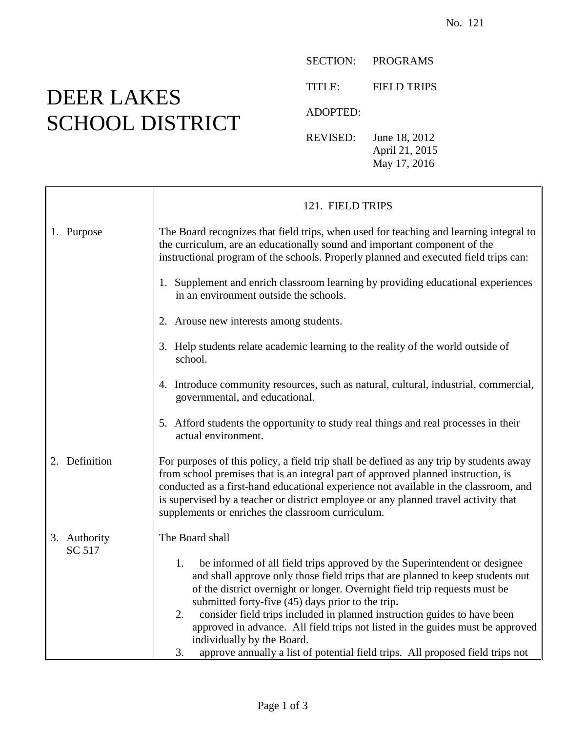## DEER LAKES SCHOOL DISTRICT

 $\mathbf{I}$ 

 $\Gamma$ 

SECTION: PROGRAMS

TITLE: FIELD TRIPS

ADOPTED:

REVISED: June 18, 2012 April 21, 2015 May 17, 2016

|                        | 121. FIELD TRIPS                                                                                                                                                                                                                                                                                                                                                                                                                                                                                                                                                                               |
|------------------------|------------------------------------------------------------------------------------------------------------------------------------------------------------------------------------------------------------------------------------------------------------------------------------------------------------------------------------------------------------------------------------------------------------------------------------------------------------------------------------------------------------------------------------------------------------------------------------------------|
| 1. Purpose             | The Board recognizes that field trips, when used for teaching and learning integral to<br>the curriculum, are an educationally sound and important component of the<br>instructional program of the schools. Properly planned and executed field trips can:                                                                                                                                                                                                                                                                                                                                    |
|                        | 1. Supplement and enrich classroom learning by providing educational experiences<br>in an environment outside the schools.                                                                                                                                                                                                                                                                                                                                                                                                                                                                     |
|                        | 2. Arouse new interests among students.                                                                                                                                                                                                                                                                                                                                                                                                                                                                                                                                                        |
|                        | 3. Help students relate academic learning to the reality of the world outside of<br>school.                                                                                                                                                                                                                                                                                                                                                                                                                                                                                                    |
|                        | 4. Introduce community resources, such as natural, cultural, industrial, commercial,<br>governmental, and educational.                                                                                                                                                                                                                                                                                                                                                                                                                                                                         |
|                        | 5. Afford students the opportunity to study real things and real processes in their<br>actual environment.                                                                                                                                                                                                                                                                                                                                                                                                                                                                                     |
| 2. Definition          | For purposes of this policy, a field trip shall be defined as any trip by students away<br>from school premises that is an integral part of approved planned instruction, is<br>conducted as a first-hand educational experience not available in the classroom, and<br>is supervised by a teacher or district employee or any planned travel activity that<br>supplements or enriches the classroom curriculum.                                                                                                                                                                               |
| 3. Authority<br>SC 517 | The Board shall                                                                                                                                                                                                                                                                                                                                                                                                                                                                                                                                                                                |
|                        | be informed of all field trips approved by the Superintendent or designee<br>1.<br>and shall approve only those field trips that are planned to keep students out<br>of the district overnight or longer. Overnight field trip requests must be<br>submitted forty-five (45) days prior to the trip.<br>consider field trips included in planned instruction guides to have been<br>2.<br>approved in advance. All field trips not listed in the guides must be approved<br>individually by the Board.<br>approve annually a list of potential field trips. All proposed field trips not<br>3. |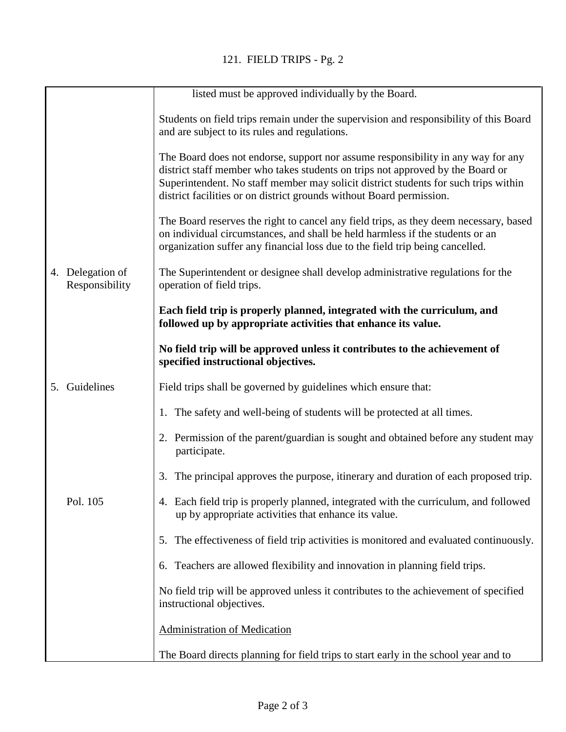|    |                                    | listed must be approved individually by the Board.                                                                                                                                                                                                                                                                                |
|----|------------------------------------|-----------------------------------------------------------------------------------------------------------------------------------------------------------------------------------------------------------------------------------------------------------------------------------------------------------------------------------|
|    |                                    | Students on field trips remain under the supervision and responsibility of this Board<br>and are subject to its rules and regulations.                                                                                                                                                                                            |
|    |                                    | The Board does not endorse, support nor assume responsibility in any way for any<br>district staff member who takes students on trips not approved by the Board or<br>Superintendent. No staff member may solicit district students for such trips within<br>district facilities or on district grounds without Board permission. |
|    |                                    | The Board reserves the right to cancel any field trips, as they deem necessary, based<br>on individual circumstances, and shall be held harmless if the students or an<br>organization suffer any financial loss due to the field trip being cancelled.                                                                           |
|    | 4. Delegation of<br>Responsibility | The Superintendent or designee shall develop administrative regulations for the<br>operation of field trips.                                                                                                                                                                                                                      |
|    |                                    | Each field trip is properly planned, integrated with the curriculum, and<br>followed up by appropriate activities that enhance its value.                                                                                                                                                                                         |
|    |                                    | No field trip will be approved unless it contributes to the achievement of<br>specified instructional objectives.                                                                                                                                                                                                                 |
| 5. | Guidelines                         | Field trips shall be governed by guidelines which ensure that:                                                                                                                                                                                                                                                                    |
|    |                                    | 1. The safety and well-being of students will be protected at all times.                                                                                                                                                                                                                                                          |
|    |                                    | 2. Permission of the parent/guardian is sought and obtained before any student may<br>participate.                                                                                                                                                                                                                                |
|    |                                    | 3. The principal approves the purpose, itinerary and duration of each proposed trip.                                                                                                                                                                                                                                              |
|    | Pol. 105                           | 4. Each field trip is properly planned, integrated with the curriculum, and followed<br>up by appropriate activities that enhance its value.                                                                                                                                                                                      |
|    |                                    | The effectiveness of field trip activities is monitored and evaluated continuously.<br>5.                                                                                                                                                                                                                                         |
|    |                                    | Teachers are allowed flexibility and innovation in planning field trips.<br>6.                                                                                                                                                                                                                                                    |
|    |                                    | No field trip will be approved unless it contributes to the achievement of specified<br>instructional objectives.                                                                                                                                                                                                                 |
|    |                                    | <b>Administration of Medication</b>                                                                                                                                                                                                                                                                                               |
|    |                                    | The Board directs planning for field trips to start early in the school year and to                                                                                                                                                                                                                                               |